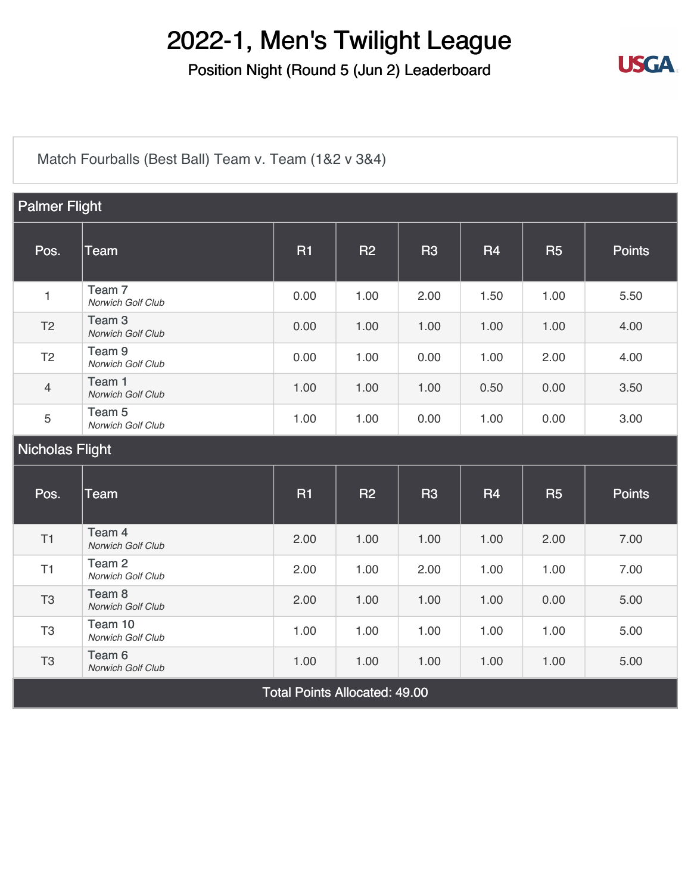Position Night (Round 5 (Jun 2) Leaderboard



[Match Fourballs \(Best Ball\) Team v. Team \(1&2 v 3&4\)](https://static.golfgenius.com/v2tournaments/8326500825769738993?called_from=&round_index=5)

| <b>Palmer Flight</b>                 |                                               |           |           |                |           |           |               |
|--------------------------------------|-----------------------------------------------|-----------|-----------|----------------|-----------|-----------|---------------|
| Pos.                                 | Team                                          | <b>R1</b> | <b>R2</b> | <b>R3</b>      | <b>R4</b> | <b>R5</b> | <b>Points</b> |
| $\mathbf{1}$                         | Team <sub>7</sub><br>Norwich Golf Club        | 0.00      | 1.00      | 2.00           | 1.50      | 1.00      | 5.50          |
| T <sub>2</sub>                       | Team <sub>3</sub><br>Norwich Golf Club        | 0.00      | 1.00      | 1.00           | 1.00      | 1.00      | 4.00          |
| T <sub>2</sub>                       | Team <sub>9</sub><br>Norwich Golf Club        | 0.00      | 1.00      | 0.00           | 1.00      | 2.00      | 4.00          |
| $\overline{4}$                       | Team 1<br>Norwich Golf Club                   | 1.00      | 1.00      | 1.00           | 0.50      | 0.00      | 3.50          |
| 5                                    | Team 5<br>Norwich Golf Club                   | 1.00      | 1.00      | 0.00           | 1.00      | 0.00      | 3.00          |
| <b>Nicholas Flight</b>               |                                               |           |           |                |           |           |               |
| Pos.                                 | Team                                          | <b>R1</b> | R2        | R <sub>3</sub> | <b>R4</b> | <b>R5</b> | <b>Points</b> |
| T1                                   | Team 4<br>Norwich Golf Club                   | 2.00      | 1.00      | 1.00           | 1.00      | 2.00      | 7.00          |
| T1                                   | Team <sub>2</sub><br>Norwich Golf Club        | 2.00      | 1.00      | 2.00           | 1.00      | 1.00      | 7.00          |
| T <sub>3</sub>                       | Team <sub>8</sub><br>Norwich Golf Club        | 2.00      | 1.00      | 1.00           | 1.00      | 0.00      | 5.00          |
| T <sub>3</sub>                       | Team 10<br>Norwich Golf Club                  | 1.00      | 1.00      | 1.00           | 1.00      | 1.00      | 5.00          |
| T <sub>3</sub>                       | Team <sub>6</sub><br><b>Norwich Golf Club</b> | 1.00      | 1.00      | 1.00           | 1.00      | 1.00      | 5.00          |
| <b>Total Points Allocated: 49.00</b> |                                               |           |           |                |           |           |               |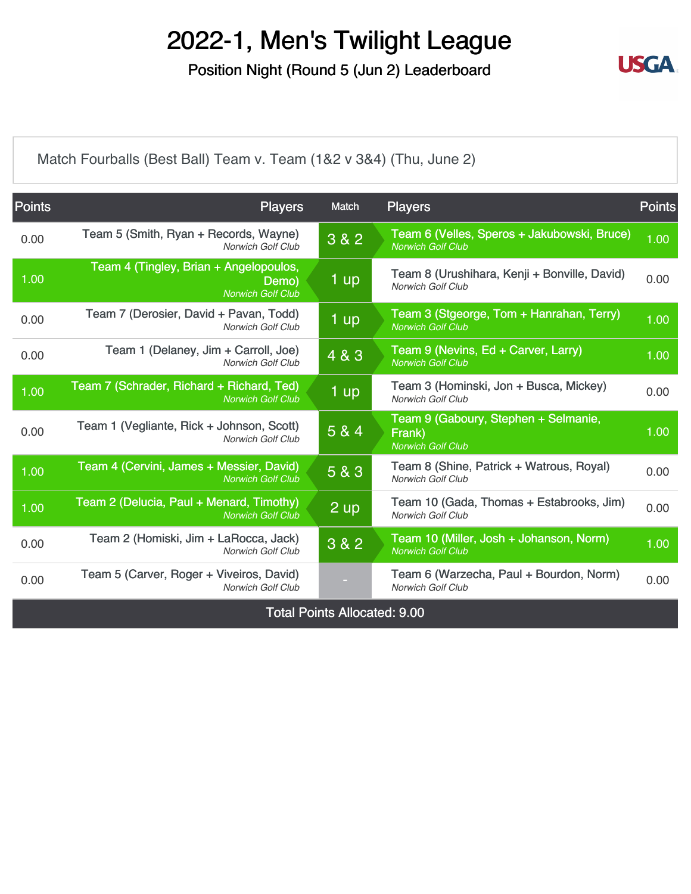Position Night (Round 5 (Jun 2) Leaderboard



[Match Fourballs \(Best Ball\) Team v. Team \(1&2 v 3&4\) \(Thu, June 2\)](https://static.golfgenius.com/v2tournaments/8326500838889521910?called_from=&round_index=5)

| <b>Points</b> | <b>Players</b>                                                              | Match                               | <b>Players</b>                                                             | <b>Points</b> |
|---------------|-----------------------------------------------------------------------------|-------------------------------------|----------------------------------------------------------------------------|---------------|
| 0.00          | Team 5 (Smith, Ryan + Records, Wayne)<br><b>Norwich Golf Club</b>           | 3 & 2                               | Team 6 (Velles, Speros + Jakubowski, Bruce)<br><b>Norwich Golf Club</b>    | 1.00          |
| 1.00          | Team 4 (Tingley, Brian + Angelopoulos,<br>Demo)<br><b>Norwich Golf Club</b> | 1 up                                | Team 8 (Urushihara, Kenji + Bonville, David)<br><b>Norwich Golf Club</b>   | 0.00          |
| 0.00          | Team 7 (Derosier, David + Pavan, Todd)<br><b>Norwich Golf Club</b>          | 1 <sub>up</sub>                     | Team 3 (Stgeorge, Tom + Hanrahan, Terry)<br><b>Norwich Golf Club</b>       | 1.00          |
| 0.00          | Team 1 (Delaney, Jim + Carroll, Joe)<br>Norwich Golf Club                   | 4 & 3                               | Team 9 (Nevins, Ed + Carver, Larry)<br><b>Norwich Golf Club</b>            | 1.00          |
| 1.00          | Team 7 (Schrader, Richard + Richard, Ted)<br><b>Norwich Golf Club</b>       | 1 up                                | Team 3 (Hominski, Jon + Busca, Mickey)<br><b>Norwich Golf Club</b>         | 0.00          |
| 0.00          | Team 1 (Vegliante, Rick + Johnson, Scott)<br><b>Norwich Golf Club</b>       | 5 & 4                               | Team 9 (Gaboury, Stephen + Selmanie,<br>Frank)<br><b>Norwich Golf Club</b> | 1.00          |
| 1.00          | Team 4 (Cervini, James + Messier, David)<br><b>Norwich Golf Club</b>        | 5 & 3                               | Team 8 (Shine, Patrick + Watrous, Royal)<br><b>Norwich Golf Club</b>       | 0.00          |
| 1.00          | Team 2 (Delucia, Paul + Menard, Timothy)<br><b>Norwich Golf Club</b>        | $2 \overline{up}$                   | Team 10 (Gada, Thomas + Estabrooks, Jim)<br><b>Norwich Golf Club</b>       | 0.00          |
| 0.00          | Team 2 (Homiski, Jim + LaRocca, Jack)<br><b>Norwich Golf Club</b>           | 3 & 2                               | Team 10 (Miller, Josh + Johanson, Norm)<br><b>Norwich Golf Club</b>        | 1.00          |
| 0.00          | Team 5 (Carver, Roger + Viveiros, David)<br><b>Norwich Golf Club</b>        | н.                                  | Team 6 (Warzecha, Paul + Bourdon, Norm)<br><b>Norwich Golf Club</b>        | 0.00          |
|               |                                                                             | <b>Total Points Allocated: 9.00</b> |                                                                            |               |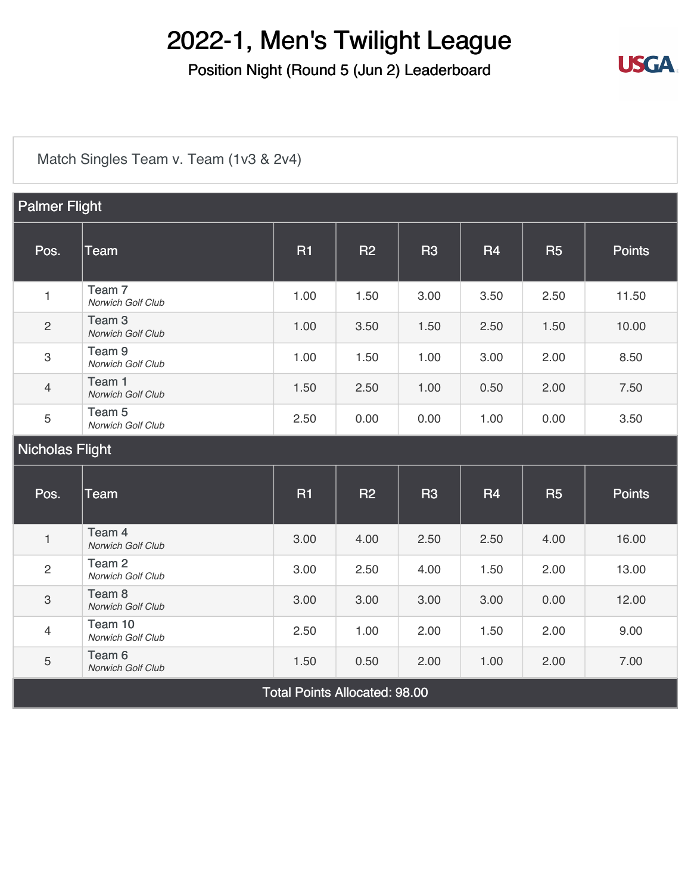Position Night (Round 5 (Jun 2) Leaderboard



[Match Singles Team v. Team \(1v3 & 2v4\)](https://static.golfgenius.com/v2tournaments/8326500891972633342?called_from=&round_index=5)

| <b>Palmer Flight</b>   |                                        |           |           |           |           |           |               |
|------------------------|----------------------------------------|-----------|-----------|-----------|-----------|-----------|---------------|
| Pos.                   | Team                                   | <b>R1</b> | <b>R2</b> | <b>R3</b> | <b>R4</b> | <b>R5</b> | <b>Points</b> |
| $\mathbf{1}$           | Team 7<br>Norwich Golf Club            | 1.00      | 1.50      | 3.00      | 3.50      | 2.50      | 11.50         |
| $\overline{2}$         | Team <sub>3</sub><br>Norwich Golf Club | 1.00      | 3.50      | 1.50      | 2.50      | 1.50      | 10.00         |
| 3                      | Team <sub>9</sub><br>Norwich Golf Club | 1.00      | 1.50      | 1.00      | 3.00      | 2.00      | 8.50          |
| $\overline{4}$         | Team 1<br>Norwich Golf Club            | 1.50      | 2.50      | 1.00      | 0.50      | 2.00      | 7.50          |
| 5                      | Team <sub>5</sub><br>Norwich Golf Club | 2.50      | 0.00      | 0.00      | 1.00      | 0.00      | 3.50          |
| <b>Nicholas Flight</b> |                                        |           |           |           |           |           |               |
|                        |                                        |           |           |           |           |           |               |
| Pos.                   | Team                                   | <b>R1</b> | <b>R2</b> | <b>R3</b> | <b>R4</b> | <b>R5</b> | <b>Points</b> |
| $\mathbf{1}$           | Team 4<br>Norwich Golf Club            | 3.00      | 4.00      | 2.50      | 2.50      | 4.00      | 16.00         |
| $\overline{c}$         | Team <sub>2</sub><br>Norwich Golf Club | 3.00      | 2.50      | 4.00      | 1.50      | 2.00      | 13.00         |
| 3                      | Team <sub>8</sub><br>Norwich Golf Club | 3.00      | 3.00      | 3.00      | 3.00      | 0.00      | 12.00         |
| $\overline{4}$         | Team 10<br>Norwich Golf Club           | 2.50      | 1.00      | 2.00      | 1.50      | 2.00      | 9.00          |

Total Points Allocated: 98.00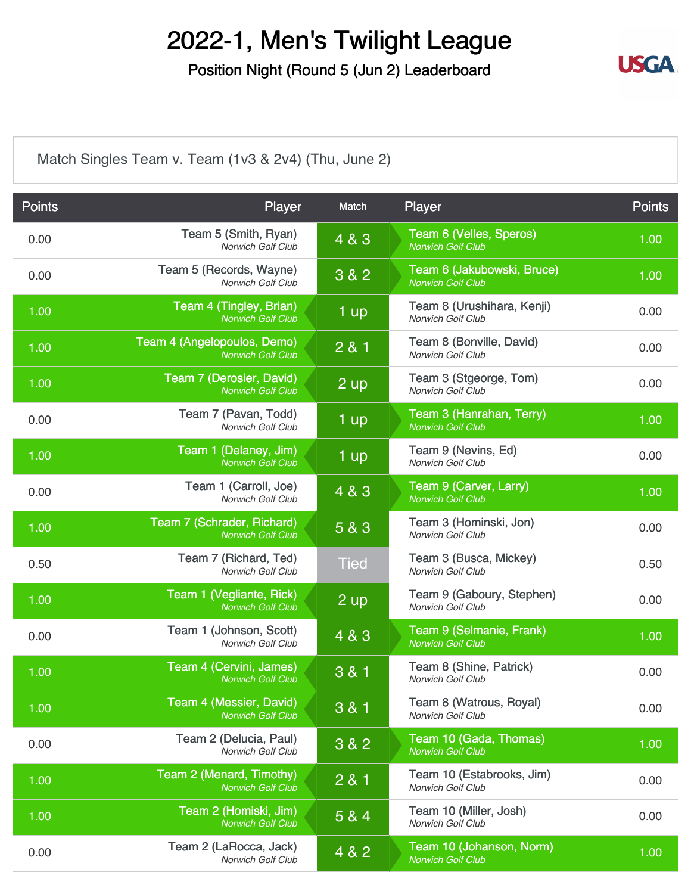Position Night (Round 5 (Jun 2) Leaderboard



[Match Singles Team v. Team \(1v3 & 2v4\) \(Thu, June 2\)](https://static.golfgenius.com/v2tournaments/8326500904891089667?called_from=&round_index=5)

| <b>Points</b> | Player                                                     | Match          | Player                                                 | <b>Points</b> |
|---------------|------------------------------------------------------------|----------------|--------------------------------------------------------|---------------|
| 0.00          | Team 5 (Smith, Ryan)<br>Norwich Golf Club                  | 4 & 3          | Team 6 (Velles, Speros)<br><b>Norwich Golf Club</b>    | 1.00          |
| 0.00          | Team 5 (Records, Wayne)<br><b>Norwich Golf Club</b>        | 3 & 2          | Team 6 (Jakubowski, Bruce)<br><b>Norwich Golf Club</b> | 1.00          |
| 1.00          | <b>Team 4 (Tingley, Brian)</b><br><b>Norwich Golf Club</b> | 1 up           | Team 8 (Urushihara, Kenji)<br>Norwich Golf Club        | 0.00          |
| 1.00          | Team 4 (Angelopoulos, Demo)<br><b>Norwich Golf Club</b>    | 2 & 1          | Team 8 (Bonville, David)<br><b>Norwich Golf Club</b>   | 0.00          |
| 1.00          | Team 7 (Derosier, David)<br><b>Norwich Golf Club</b>       | 2 up           | Team 3 (Stgeorge, Tom)<br>Norwich Golf Club            | 0.00          |
| 0.00          | Team 7 (Pavan, Todd)<br>Norwich Golf Club                  | 1 up           | Team 3 (Hanrahan, Terry)<br><b>Norwich Golf Club</b>   | 1.00          |
| 1.00          | Team 1 (Delaney, Jim)<br><b>Norwich Golf Club</b>          | 1 up           | Team 9 (Nevins, Ed)<br>Norwich Golf Club               | 0.00          |
| 0.00          | Team 1 (Carroll, Joe)<br>Norwich Golf Club                 | 4 & 3          | Team 9 (Carver, Larry)<br><b>Norwich Golf Club</b>     | 1.00          |
| 1.00          | Team 7 (Schrader, Richard)<br><b>Norwich Golf Club</b>     | 5 & 3          | Team 3 (Hominski, Jon)<br>Norwich Golf Club            | 0.00          |
| 0.50          | Team 7 (Richard, Ted)<br><b>Norwich Golf Club</b>          | <b>Tied</b>    | Team 3 (Busca, Mickey)<br><b>Norwich Golf Club</b>     | 0.50          |
| 1.00          | Team 1 (Vegliante, Rick)<br><b>Norwich Golf Club</b>       | $2 \text{ up}$ | Team 9 (Gaboury, Stephen)<br>Norwich Golf Club         | 0.00          |
| 0.00          | Team 1 (Johnson, Scott)<br>Norwich Golf Club               | 4 & 3          | Team 9 (Selmanie, Frank)<br><b>Norwich Golf Club</b>   | 1.00          |
| 1.00          | Team 4 (Cervini, James)<br><b>Norwich Golf Club</b>        | 3 & 1          | Team 8 (Shine, Patrick)<br><b>Norwich Golf Club</b>    | 0.00          |
| 1.00          | Team 4 (Messier, David)<br><b>Norwich Golf Club</b>        | 3 & 1          | Team 8 (Watrous, Royal)<br>Norwich Golf Club           | 0.00          |
| 0.00          | Team 2 (Delucia, Paul)<br>Norwich Golf Club                | 3 & 2          | Team 10 (Gada, Thomas)<br><b>Norwich Golf Club</b>     | 1.00          |
| 1.00          | Team 2 (Menard, Timothy)<br><b>Norwich Golf Club</b>       | 2 & 1          | Team 10 (Estabrooks, Jim)<br><b>Norwich Golf Club</b>  | 0.00          |
| 1.00          | Team 2 (Homiski, Jim)<br>Norwich Golf Club                 | 5 & 4          | Team 10 (Miller, Josh)<br>Norwich Golf Club            | 0.00          |
| 0.00          | Team 2 (LaRocca, Jack)<br>Norwich Golf Club                | 4 & 2          | Team 10 (Johanson, Norm)<br><b>Norwich Golf Club</b>   | 1.00          |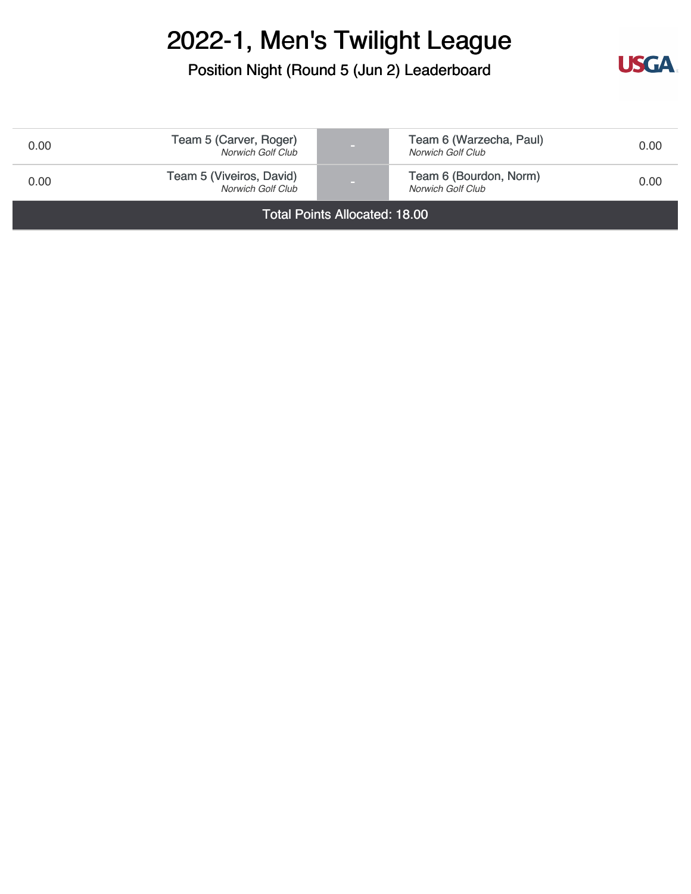Position Night (Round 5 (Jun 2) Leaderboard



| 0.00                                 | Team 5 (Carver, Roger)<br>Norwich Golf Club   |  | Team 6 (Warzecha, Paul)<br>Norwich Golf Club | 0.00 |
|--------------------------------------|-----------------------------------------------|--|----------------------------------------------|------|
| 0.00                                 | Team 5 (Viveiros, David)<br>Norwich Golf Club |  | Team 6 (Bourdon, Norm)<br>Norwich Golf Club  | 0.00 |
| <b>Total Points Allocated: 18.00</b> |                                               |  |                                              |      |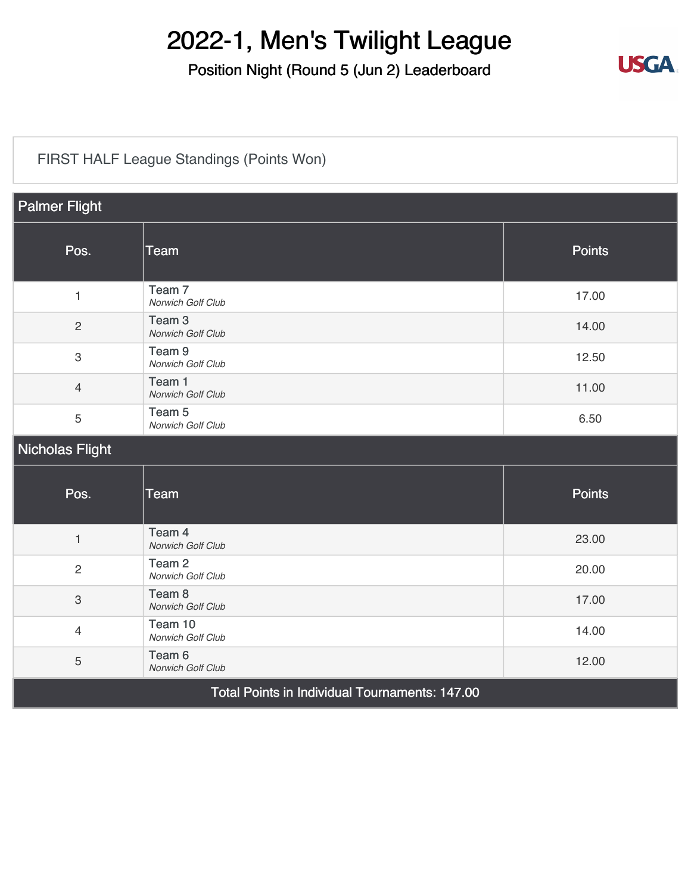Position Night (Round 5 (Jun 2) Leaderboard



#### [FIRST HALF League Standings \(Points Won\)](https://static.golfgenius.com/v2tournaments/8326500939250828043?called_from=&round_index=5)

| <b>Palmer Flight</b>      |                                                |               |  |  |  |
|---------------------------|------------------------------------------------|---------------|--|--|--|
| Pos.                      | <b>Team</b>                                    | <b>Points</b> |  |  |  |
| $\mathbf{1}$              | Team 7<br>Norwich Golf Club                    | 17.00         |  |  |  |
| $\overline{2}$            | Team <sub>3</sub><br>Norwich Golf Club         | 14.00         |  |  |  |
| $\ensuremath{\mathsf{3}}$ | Team <sub>9</sub><br>Norwich Golf Club         | 12.50         |  |  |  |
| $\overline{4}$            | Team 1<br>Norwich Golf Club                    | 11.00         |  |  |  |
| 5                         | Team <sub>5</sub><br>Norwich Golf Club         | 6.50          |  |  |  |
| Nicholas Flight           |                                                |               |  |  |  |
| Pos.                      | <b>Team</b>                                    | <b>Points</b> |  |  |  |
| $\mathbf{1}$              | Team 4<br>Norwich Golf Club                    | 23.00         |  |  |  |
| $\overline{c}$            | Team <sub>2</sub><br>Norwich Golf Club         | 20.00         |  |  |  |
| $\mathbf{3}$              | Team <sub>8</sub><br>Norwich Golf Club         | 17.00         |  |  |  |
| $\overline{4}$            | Team 10<br>Norwich Golf Club                   | 14.00         |  |  |  |
| 5                         | Team 6<br>Norwich Golf Club                    | 12.00         |  |  |  |
|                           | Total Points in Individual Tournaments: 147.00 |               |  |  |  |